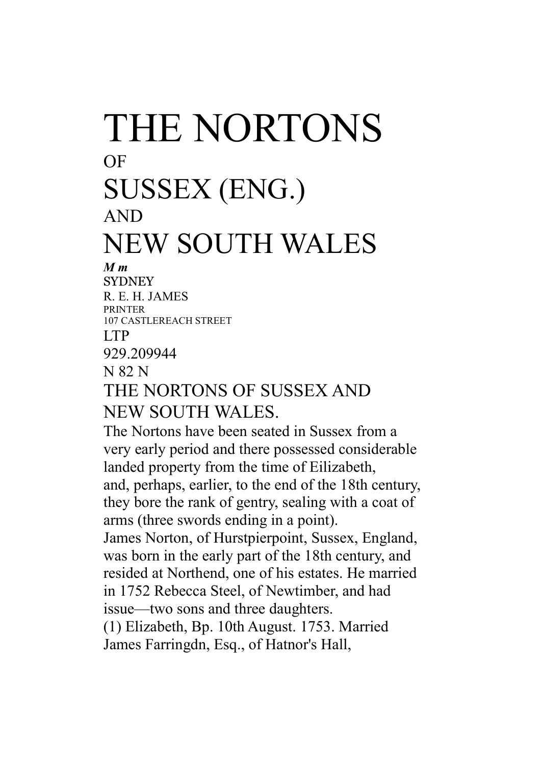## THE NORTONS OF SUSSEX (ENG.) AND NEW SOUTH WALES

## *M m*

**SYDNEY** R. E. H. JAMES **PPINTER** 107 CASTLEREACH STREET LTP 929.209944 N 82 N THE NORTONS OF SUSSEX AND NEW SOUTH WALES.

The Nortons have been seated in Sussex from a very early period and there possessed considerable landed property from the time of Eilizabeth, and, perhaps, earlier, to the end of the 18th century, they bore the rank of gentry, sealing with a coat of arms (three swords ending in a point). James Norton, of Hurstpierpoint, Sussex, England, was born in the early part of the 18th century, and resided at Northend, one of his estates. He married in 1752 Rebecca Steel, of Newtimber, and had issue—two sons and three daughters. (1) Elizabeth, Bp. 10th August. 1753. Married James Farringdn, Esq., of Hatnor's Hall,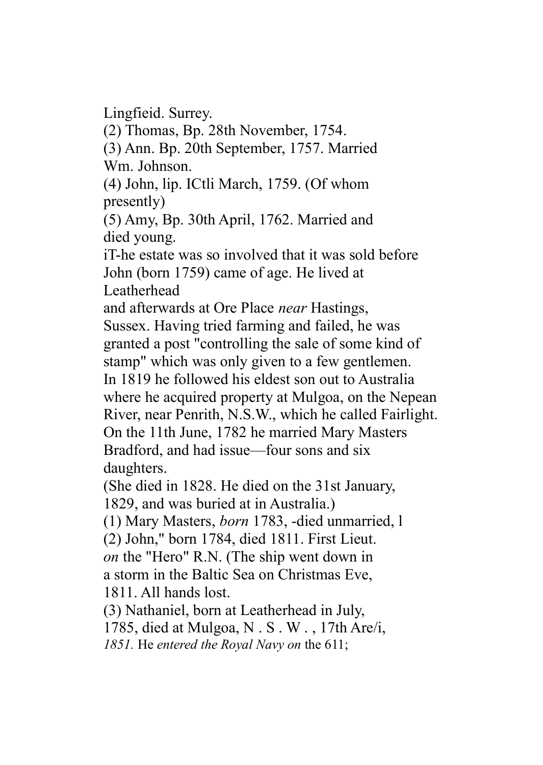Lingfieid. Surrey.

(2) Thomas, Bp. 28th November, 1754.

(3) Ann. Bp. 20th September, 1757. Married Wm. Johnson.

(4) John, lip. ICtli March, 1759. (Of whom presently)

(5) Amy, Bp. 30th April, 1762. Married and died young.

iT-he estate was so involved that it was sold before John (born 1759) came of age. He lived at Leatherhead

and afterwards at Ore Place *near* Hastings, Sussex. Having tried farming and failed, he was granted a post "controlling the sale of some kind of stamp" which was only given to a few gentlemen. In 1819 he followed his eldest son out to Australia where he acquired property at Mulgoa, on the Nepean River, near Penrith, N.S.W., which he called Fairlight. On the 11th June, 1782 he married Mary Masters Bradford, and had issue—four sons and six daughters.

(She died in 1828. He died on the 31st January, 1829, and was buried at in Australia.)

(1) Mary Masters, *born* 1783, -died unmarried, l

(2) John," born 1784, died 1811. First Lieut. *on* the "Hero" R.N. (The ship went down in a storm in the Baltic Sea on Christmas Eve, 1811. All hands lost.

(3) Nathaniel, born at Leatherhead in July, 1785, died at Mulgoa, N . S . W . , 17th Are/i, *1851.* He *entered the Royal Navy on* the 611;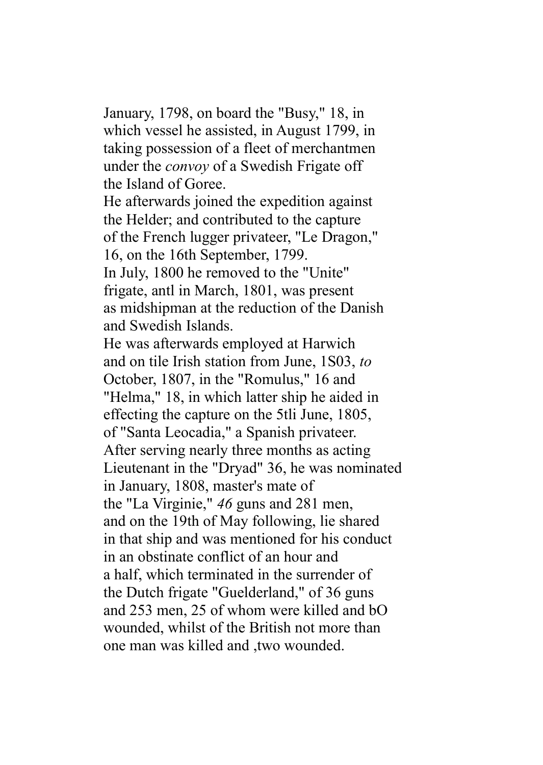January, 1798, on board the "Busy," 18, in which vessel he assisted, in August 1799, in taking possession of a fleet of merchantmen under the *convoy* of a Swedish Frigate off the Island of Goree.

He afterwards joined the expedition against the Helder; and contributed to the capture of the French lugger privateer, "Le Dragon," 16, on the 16th September, 1799. In July, 1800 he removed to the "Unite" frigate, antl in March, 1801, was present as midshipman at the reduction of the Danish and Swedish Islands.

He was afterwards employed at Harwich and on tile Irish station from June, 1S03, *to* October, 1807, in the "Romulus," 16 and "Helma," 18, in which latter ship he aided in effecting the capture on the 5tli June, 1805, of "Santa Leocadia," a Spanish privateer. After serving nearly three months as acting Lieutenant in the "Dryad" 36, he was nominated in January, 1808, master's mate of the "La Virginie," *46* guns and 281 men, and on the 19th of May following, lie shared in that ship and was mentioned for his conduct in an obstinate conflict of an hour and a half, which terminated in the surrender of the Dutch frigate "Guelderland," of 36 guns and 253 men, 25 of whom were killed and bO wounded, whilst of the British not more than one man was killed and ,two wounded.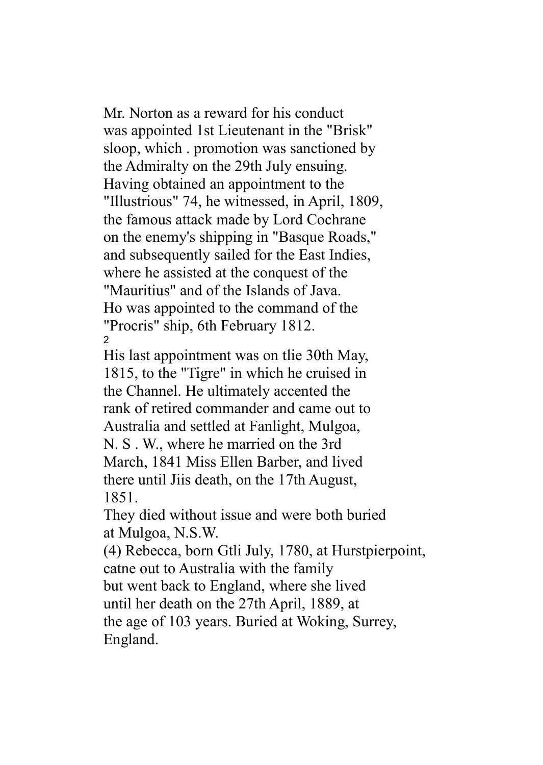Mr. Norton as a reward for his conduct was appointed 1st Lieutenant in the "Brisk" sloop, which . promotion was sanctioned by the Admiralty on the 29th July ensuing. Having obtained an appointment to the "Illustrious" 74, he witnessed, in April, 1809, the famous attack made by Lord Cochrane on the enemy's shipping in "Basque Roads," and subsequently sailed for the East Indies, where he assisted at the conquest of the "Mauritius" and of the Islands of Java. Ho was appointed to the command of the "Procris" ship, 6th February 1812. 2

His last appointment was on tlie 30th May, 1815, to the "Tigre" in which he cruised in the Channel. He ultimately accented the rank of retired commander and came out to Australia and settled at Fanlight, Mulgoa, N. S . W., where he married on the 3rd March, 1841 Miss Ellen Barber, and lived there until Jiis death, on the 17th August, 1851.

They died without issue and were both buried at Mulgoa, N.S.W.

(4) Rebecca, born Gtli July, 1780, at Hurstpierpoint, catne out to Australia with the family but went back to England, where she lived until her death on the 27th April, 1889, at the age of 103 years. Buried at Woking, Surrey, England.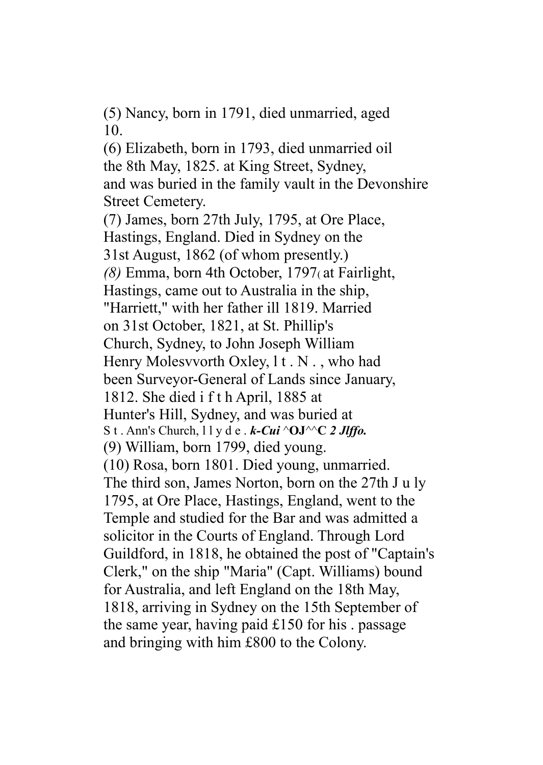(5) Nancy, born in 1791, died unmarried, aged 10.

(6) Elizabeth, born in 1793, died unmarried oil the 8th May, 1825. at King Street, Sydney, and was buried in the family vault in the Devonshire Street Cemetery.

(7) James, born 27th July, 1795, at Ore Place, Hastings, England. Died in Sydney on the 31st August, 1862 (of whom presently.) *(8)* Emma, born 4th October, 1797( at Fairlight, Hastings, came out to Australia in the ship, "Harriett," with her father ill 1819. Married on 31st October, 1821, at St. Phillip's Church, Sydney, to John Joseph William Henry Molesvvorth Oxley, l t . N . , who had been Surveyor-General of Lands since January, 1812. She died i f t h April, 1885 at Hunter's Hill, Sydney, and was buried at S t . Ann's Church, l l y d e . *k-Cui* ^**OJ**^^**C** *2 Jlffo.* (9) William, born 1799, died young. (10) Rosa, born 1801. Died young, unmarried. The third son, James Norton, born on the 27th J u ly 1795, at Ore Place, Hastings, England, went to the Temple and studied for the Bar and was admitted a solicitor in the Courts of England. Through Lord Guildford, in 1818, he obtained the post of "Captain's Clerk," on the ship "Maria" (Capt. Williams) bound for Australia, and left England on the 18th May, 1818, arriving in Sydney on the 15th September of the same year, having paid  $£150$  for his . passage and bringing with him £800 to the Colony.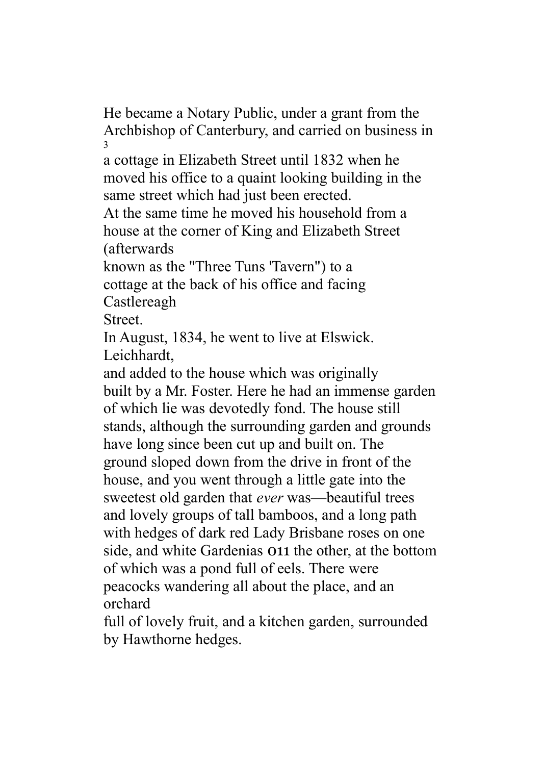He became a Notary Public, under a grant from the Archbishop of Canterbury, and carried on business in 3

a cottage in Elizabeth Street until 1832 when he moved his office to a quaint looking building in the same street which had just been erected.

At the same time he moved his household from a house at the corner of King and Elizabeth Street (afterwards

known as the "Three Tuns 'Tavern") to a cottage at the back of his office and facing Castlereagh

Street.

In August, 1834, he went to live at Elswick. Leichhardt,

and added to the house which was originally built by a Mr. Foster. Here he had an immense garden of which lie was devotedly fond. The house still stands, although the surrounding garden and grounds have long since been cut up and built on. The ground sloped down from the drive in front of the house, and you went through a little gate into the sweetest old garden that *ever* was—beautiful trees and lovely groups of tall bamboos, and a long path with hedges of dark red Lady Brisbane roses on one side, and white Gardenias 011 the other, at the bottom of which was a pond full of eels. There were peacocks wandering all about the place, and an orchard

full of lovely fruit, and a kitchen garden, surrounded by Hawthorne hedges.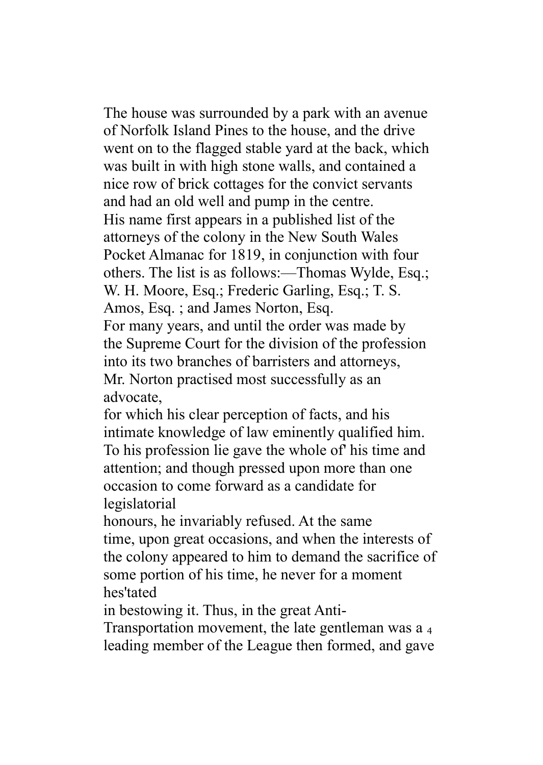The house was surrounded by a park with an avenue of Norfolk Island Pines to the house, and the drive went on to the flagged stable yard at the back, which was built in with high stone walls, and contained a nice row of brick cottages for the convict servants and had an old well and pump in the centre. His name first appears in a published list of the attorneys of the colony in the New South Wales Pocket Almanac for 1819, in conjunction with four others. The list is as follows:—Thomas Wylde, Esq.; W. H. Moore, Esq.; Frederic Garling, Esq.; T. S. Amos, Esq. ; and James Norton, Esq. For many years, and until the order was made by the Supreme Court for the division of the profession into its two branches of barristers and attorneys, Mr. Norton practised most successfully as an advocate,

for which his clear perception of facts, and his intimate knowledge of law eminently qualified him. To his profession lie gave the whole of' his time and attention; and though pressed upon more than one occasion to come forward as a candidate for legislatorial

honours, he invariably refused. At the same time, upon great occasions, and when the interests of the colony appeared to him to demand the sacrifice of some portion of his time, he never for a moment hes'tated

in bestowing it. Thus, in the great Anti-

Transportation movement, the late gentleman was a <sup>4</sup> leading member of the League then formed, and gave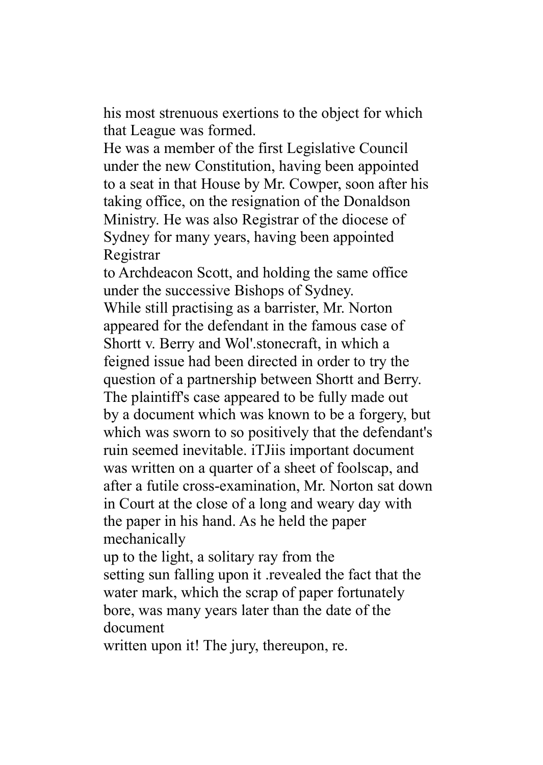his most strenuous exertions to the object for which that League was formed.

He was a member of the first Legislative Council under the new Constitution, having been appointed to a seat in that House by Mr. Cowper, soon after his taking office, on the resignation of the Donaldson Ministry. He was also Registrar of the diocese of Sydney for many years, having been appointed Registrar

to Archdeacon Scott, and holding the same office under the successive Bishops of Sydney.

While still practising as a barrister, Mr. Norton appeared for the defendant in the famous case of Shortt v. Berry and Wol'.stonecraft, in which a feigned issue had been directed in order to try the question of a partnership between Shortt and Berry. The plaintiff's case appeared to be fully made out by a document which was known to be a forgery, but which was sworn to so positively that the defendant's ruin seemed inevitable. iTJiis important document was written on a quarter of a sheet of foolscap, and after a futile cross-examination, Mr. Norton sat down in Court at the close of a long and weary day with the paper in his hand. As he held the paper mechanically

up to the light, a solitary ray from the setting sun falling upon it .revealed the fact that the water mark, which the scrap of paper fortunately bore, was many years later than the date of the document

written upon it! The jury, thereupon, re.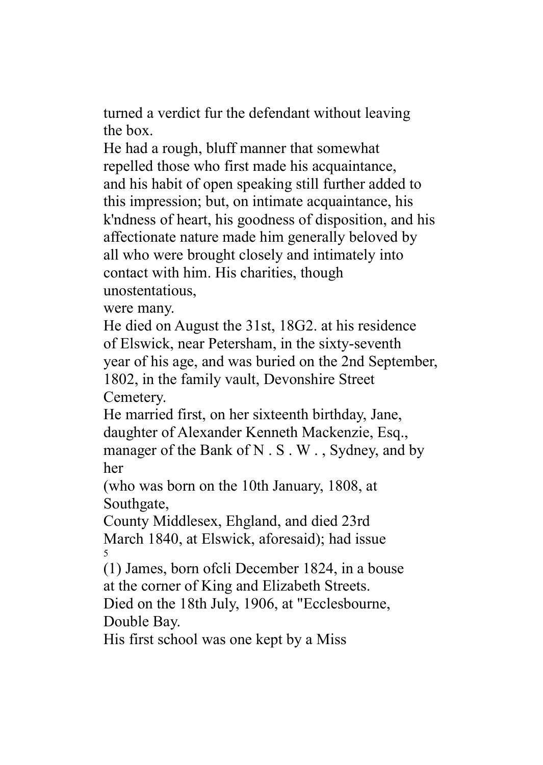turned a verdict fur the defendant without leaving the box.

He had a rough, bluff manner that somewhat repelled those who first made his acquaintance, and his habit of open speaking still further added to this impression; but, on intimate acquaintance, his k'ndness of heart, his goodness of disposition, and his affectionate nature made him generally beloved by all who were brought closely and intimately into contact with him. His charities, though unostentatious,

were many.

He died on August the 31st, 18G2. at his residence of Elswick, near Petersham, in the sixty-seventh year of his age, and was buried on the 2nd September, 1802, in the family vault, Devonshire Street Cemetery.

He married first, on her sixteenth birthday, Jane, daughter of Alexander Kenneth Mackenzie, Esq., manager of the Bank of N.S.W., Sydney, and by her

(who was born on the 10th January, 1808, at Southgate,

County Middlesex, Ehgland, and died 23rd March 1840, at Elswick, aforesaid); had issue 5

(1) James, born ofcli December 1824, in a bouse at the corner of King and Elizabeth Streets.

Died on the 18th July, 1906, at "Ecclesbourne, Double Bay.

His first school was one kept by a Miss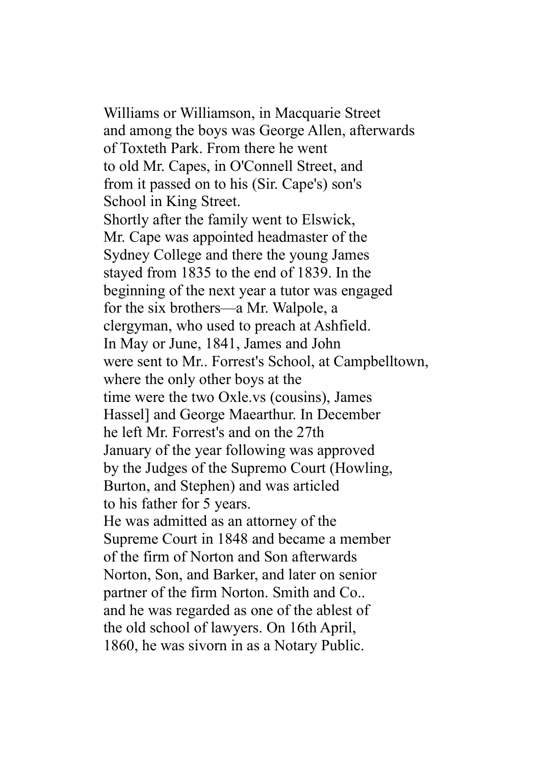Williams or Williamson, in Macquarie Street and among the boys was George Allen, afterwards of Toxteth Park. From there he went to old Mr. Capes, in O'Connell Street, and from it passed on to his (Sir. Cape's) son's School in King Street. Shortly after the family went to Elswick, Mr. Cape was appointed headmaster of the Sydney College and there the young James stayed from 1835 to the end of 1839. In the beginning of the next year a tutor was engaged for the six brothers—a Mr. Walpole, a clergyman, who used to preach at Ashfield. In May or June, 1841, James and John were sent to Mr.. Forrest's School, at Campbelltown, where the only other boys at the time were the two Oxle.vs (cousins), James Hassel] and George Maearthur. In December he left Mr. Forrest's and on the 27th January of the year following was approved by the Judges of the Supremo Court (Howling, Burton, and Stephen) and was articled to his father for 5 years. He was admitted as an attorney of the Supreme Court in 1848 and became a member of the firm of Norton and Son afterwards Norton, Son, and Barker, and later on senior partner of the firm Norton. Smith and Co.. and he was regarded as one of the ablest of the old school of lawyers. On 16th April, 1860, he was sivorn in as a Notary Public.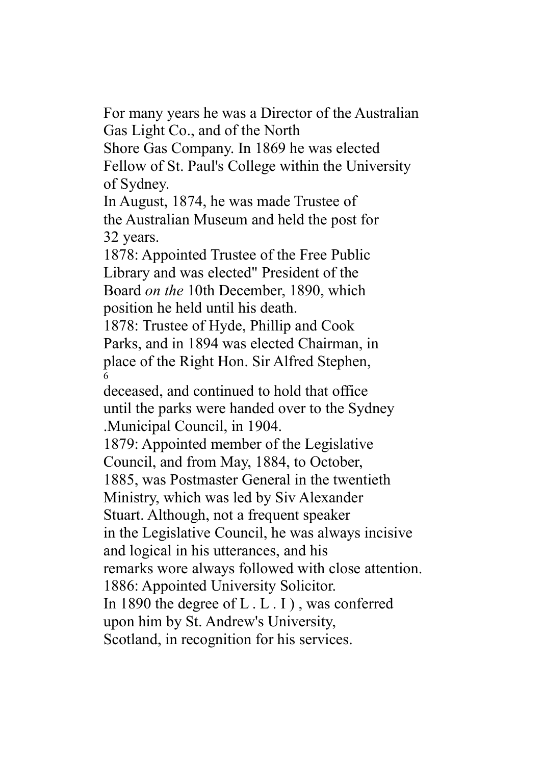For many years he was a Director of the Australian Gas Light Co., and of the North

Shore Gas Company. In 1869 he was elected Fellow of St. Paul's College within the University of Sydney.

In August, 1874, he was made Trustee of the Australian Museum and held the post for 32 years.

1878: Appointed Trustee of the Free Public Library and was elected" President of the Board *on the* 10th December, 1890, which position he held until his death.

1878: Trustee of Hyde, Phillip and Cook Parks, and in 1894 was elected Chairman, in place of the Right Hon. Sir Alfred Stephen, 6

deceased, and continued to hold that office until the parks were handed over to the Sydney .Municipal Council, in 1904.

1879: Appointed member of the Legislative Council, and from May, 1884, to October, 1885, was Postmaster General in the twentieth Ministry, which was led by Siv Alexander Stuart. Although, not a frequent speaker in the Legislative Council, he was always incisive and logical in his utterances, and his remarks wore always followed with close attention. 1886: Appointed University Solicitor. In 1890 the degree of L . L . I ) , was conferred upon him by St. Andrew's University, Scotland, in recognition for his services.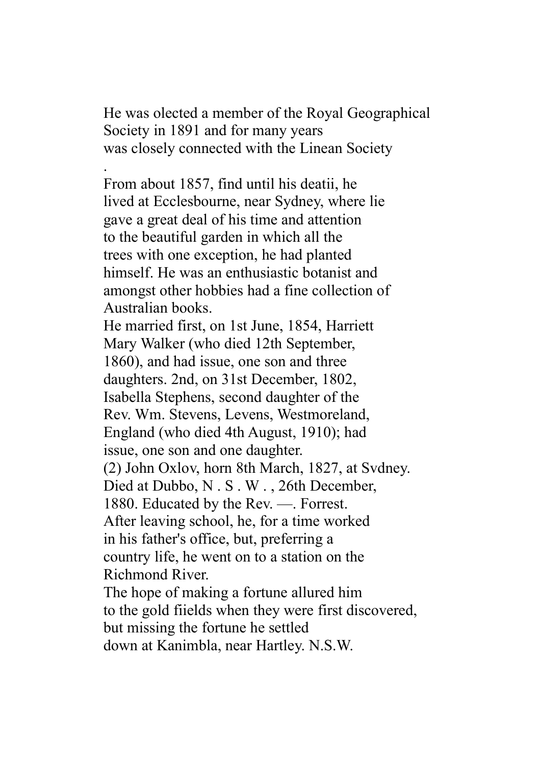He was olected a member of the Royal Geographical Society in 1891 and for many years was closely connected with the Linean Society

. From about 1857, find until his deatii, he lived at Ecclesbourne, near Sydney, where lie gave a great deal of his time and attention to the beautiful garden in which all the trees with one exception, he had planted himself. He was an enthusiastic botanist and amongst other hobbies had a fine collection of Australian books.

He married first, on 1st June, 1854, Harriett Mary Walker (who died 12th September, 1860), and had issue, one son and three daughters. 2nd, on 31st December, 1802, Isabella Stephens, second daughter of the Rev. Wm. Stevens, Levens, Westmoreland, England (who died 4th August, 1910); had issue, one son and one daughter. (2) John Oxlov, horn 8th March, 1827, at Svdney. Died at Dubbo, N . S . W . , 26th December, 1880. Educated by the Rev. —. Forrest. After leaving school, he, for a time worked in his father's office, but, preferring a country life, he went on to a station on the Richmond River. The hope of making a fortune allured him to the gold fiields when they were first discovered, but missing the fortune he settled down at Kanimbla, near Hartley. N.S.W.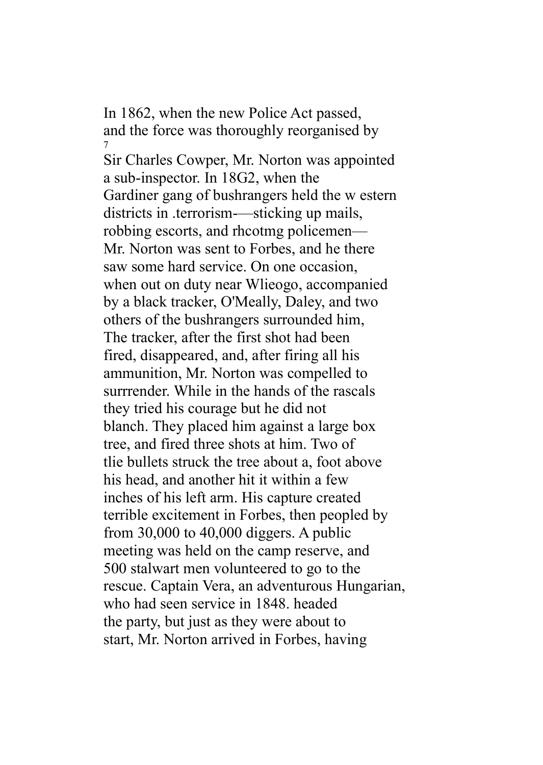In 1862, when the new Police Act passed, and the force was thoroughly reorganised by 7

Sir Charles Cowper, Mr. Norton was appointed a sub-inspector. In 18G2, when the Gardiner gang of bushrangers held the w estern districts in .terrorism—sticking up mails, robbing escorts, and rhcotmg policemen— Mr. Norton was sent to Forbes, and he there saw some hard service. On one occasion, when out on duty near Wlieogo, accompanied by a black tracker, O'Meally, Daley, and two others of the bushrangers surrounded him, The tracker, after the first shot had been fired, disappeared, and, after firing all his ammunition, Mr. Norton was compelled to surrrender. While in the hands of the rascals they tried his courage but he did not blanch. They placed him against a large box tree, and fired three shots at him. Two of tlie bullets struck the tree about a, foot above his head, and another hit it within a few inches of his left arm. His capture created terrible excitement in Forbes, then peopled by from 30,000 to 40,000 diggers. A public meeting was held on the camp reserve, and 500 stalwart men volunteered to go to the rescue. Captain Vera, an adventurous Hungarian, who had seen service in 1848. headed the party, but just as they were about to start, Mr. Norton arrived in Forbes, having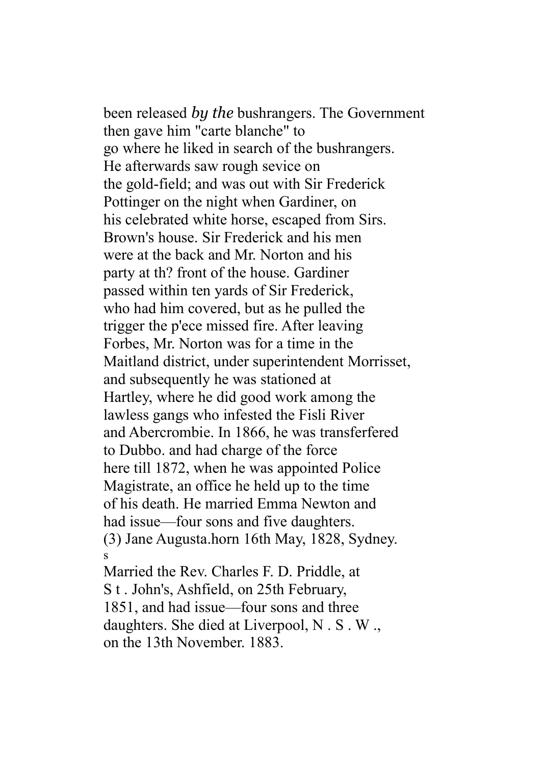been released *by the* bushrangers. The Government then gave him "carte blanche" to go where he liked in search of the bushrangers. He afterwards saw rough sevice on the gold-field; and was out with Sir Frederick Pottinger on the night when Gardiner, on his celebrated white horse, escaped from Sirs. Brown's house. Sir Frederick and his men were at the back and Mr. Norton and his party at th? front of the house. Gardiner passed within ten yards of Sir Frederick, who had him covered, but as he pulled the trigger the p'ece missed fire. After leaving Forbes, Mr. Norton was for a time in the Maitland district, under superintendent Morrisset, and subsequently he was stationed at Hartley, where he did good work among the lawless gangs who infested the Fisli River and Abercrombie. In 1866, he was transferfered to Dubbo. and had charge of the force here till 1872, when he was appointed Police Magistrate, an office he held up to the time of his death. He married Emma Newton and had issue—four sons and five daughters. (3) Jane Augusta.horn 16th May, 1828, Sydney. s

Married the Rev. Charles F. D. Priddle, at S t . John's, Ashfield, on 25th February, 1851, and had issue—four sons and three daughters. She died at Liverpool, N . S . W ., on the 13th November. 1883.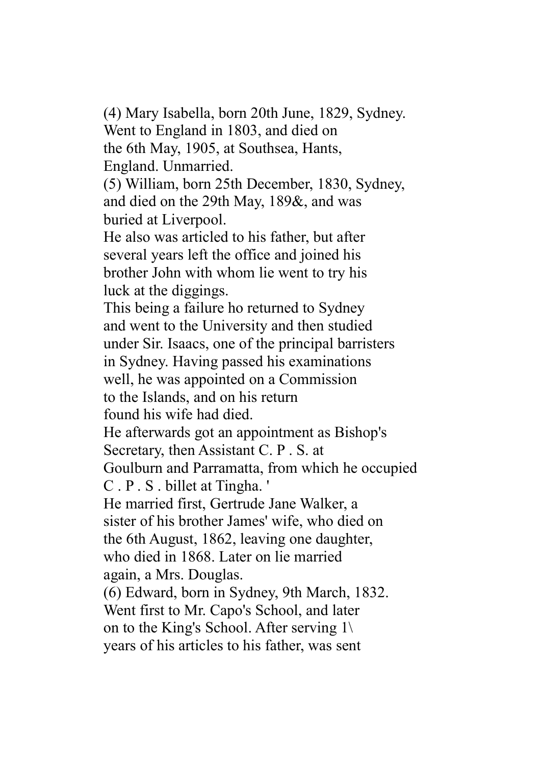(4) Mary Isabella, born 20th June, 1829, Sydney. Went to England in 1803, and died on the 6th May, 1905, at Southsea, Hants, England. Unmarried. (5) William, born 25th December, 1830, Sydney, and died on the 29th May, 189&, and was buried at Liverpool. He also was articled to his father, but after several years left the office and joined his brother John with whom lie went to try his luck at the diggings. This being a failure ho returned to Sydney and went to the University and then studied under Sir. Isaacs, one of the principal barristers in Sydney. Having passed his examinations well, he was appointed on a Commission to the Islands, and on his return found his wife had died. He afterwards got an appointment as Bishop's Secretary, then Assistant C. P . S. at Goulburn and Parramatta, from which he occupied C . P . S . billet at Tingha. ' He married first, Gertrude Jane Walker, a sister of his brother James' wife, who died on the 6th August, 1862, leaving one daughter, who died in 1868. Later on lie married again, a Mrs. Douglas. (6) Edward, born in Sydney, 9th March, 1832. Went first to Mr. Capo's School, and later on to the King's School. After serving 1\ years of his articles to his father, was sent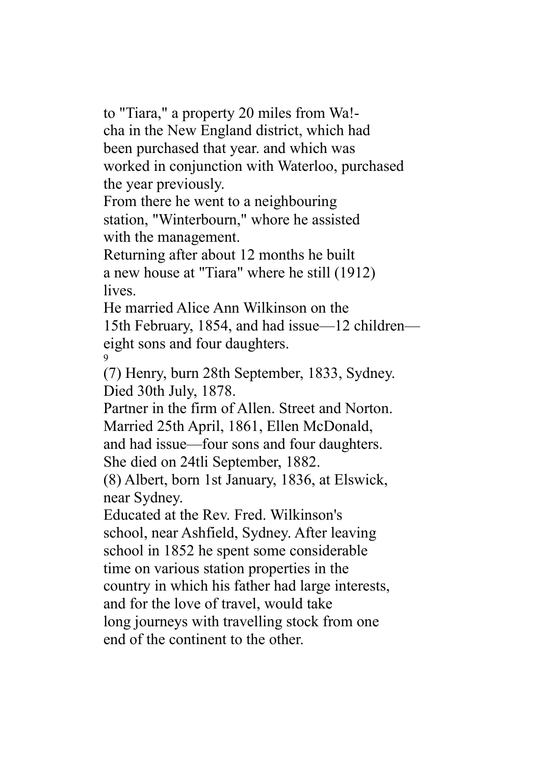to "Tiara," a property 20 miles from Wa! cha in the New England district, which had been purchased that year. and which was worked in conjunction with Waterloo, purchased the year previously.

From there he went to a neighbouring station, "Winterbourn," whore he assisted with the management.

Returning after about 12 months he built a new house at "Tiara" where he still (1912) lives.

He married Alice Ann Wilkinson on the 15th February, 1854, and had issue—12 children eight sons and four daughters. 9

(7) Henry, burn 28th September, 1833, Sydney. Died 30th July, 1878.

Partner in the firm of Allen. Street and Norton. Married 25th April, 1861, Ellen McDonald, and had issue—four sons and four daughters.

She died on 24tli September, 1882.

(8) Albert, born 1st January, 1836, at Elswick, near Sydney.

Educated at the Rev. Fred. Wilkinson's school, near Ashfield, Sydney. After leaving school in 1852 he spent some considerable time on various station properties in the country in which his father had large interests, and for the love of travel, would take long journeys with travelling stock from one end of the continent to the other.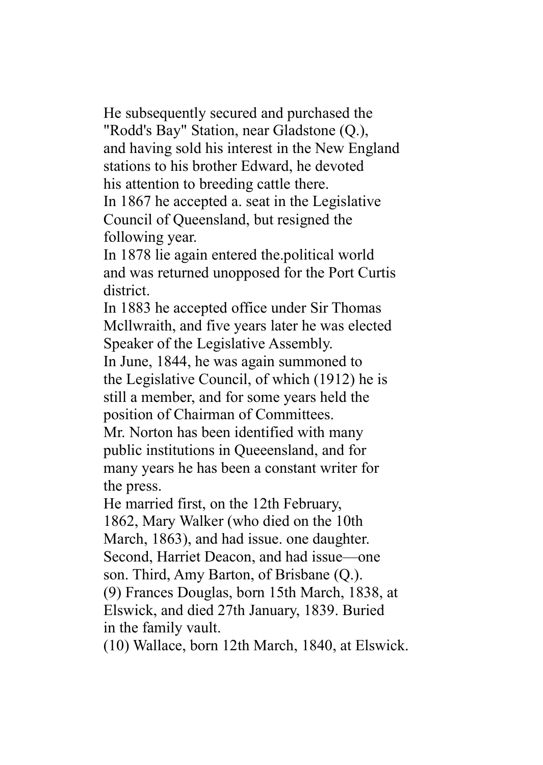He subsequently secured and purchased the "Rodd's Bay" Station, near Gladstone (Q.), and having sold his interest in the New England stations to his brother Edward, he devoted his attention to breeding cattle there. In 1867 he accepted a. seat in the Legislative

Council of Queensland, but resigned the following year.

In 1878 lie again entered the.political world and was returned unopposed for the Port Curtis district.

In 1883 he accepted office under Sir Thomas Mcllwraith, and five years later he was elected Speaker of the Legislative Assembly.

In June, 1844, he was again summoned to the Legislative Council, of which (1912) he is still a member, and for some years held the position of Chairman of Committees.

Mr. Norton has been identified with many public institutions in Queeensland, and for many years he has been a constant writer for the press.

He married first, on the 12th February, 1862, Mary Walker (who died on the 10th March, 1863), and had issue. one daughter. Second, Harriet Deacon, and had issue—one son. Third, Amy Barton, of Brisbane (Q.). (9) Frances Douglas, born 15th March, 1838, at Elswick, and died 27th January, 1839. Buried in the family vault.

(10) Wallace, born 12th March, 1840, at Elswick.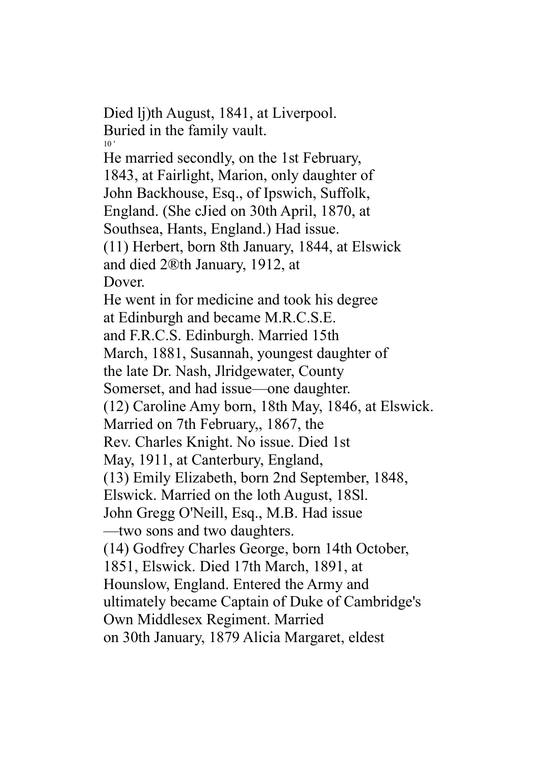Died lj)th August, 1841, at Liverpool. Buried in the family vault. 10 ' He married secondly, on the 1st February, 1843, at Fairlight, Marion, only daughter of John Backhouse, Esq., of Ipswich, Suffolk, England. (She cJied on 30th April, 1870, at Southsea, Hants, England.) Had issue. (11) Herbert, born 8th January, 1844, at Elswick and died 2®th January, 1912, at Dover. He went in for medicine and took his degree at Edinburgh and became M.R.C.S.E. and F.R.C.S. Edinburgh. Married 15th March, 1881, Susannah, youngest daughter of the late Dr. Nash, Jlridgewater, County Somerset, and had issue—one daughter. (12) Caroline Amy born, 18th May, 1846, at Elswick. Married on 7th February,, 1867, the Rev. Charles Knight. No issue. Died 1st May, 1911, at Canterbury, England, (13) Emily Elizabeth, born 2nd September, 1848, Elswick. Married on the loth August, 18Sl. John Gregg O'Neill, Esq., M.B. Had issue —two sons and two daughters. (14) Godfrey Charles George, born 14th October, 1851, Elswick. Died 17th March, 1891, at Hounslow, England. Entered the Army and ultimately became Captain of Duke of Cambridge's Own Middlesex Regiment. Married on 30th January, 1879 Alicia Margaret, eldest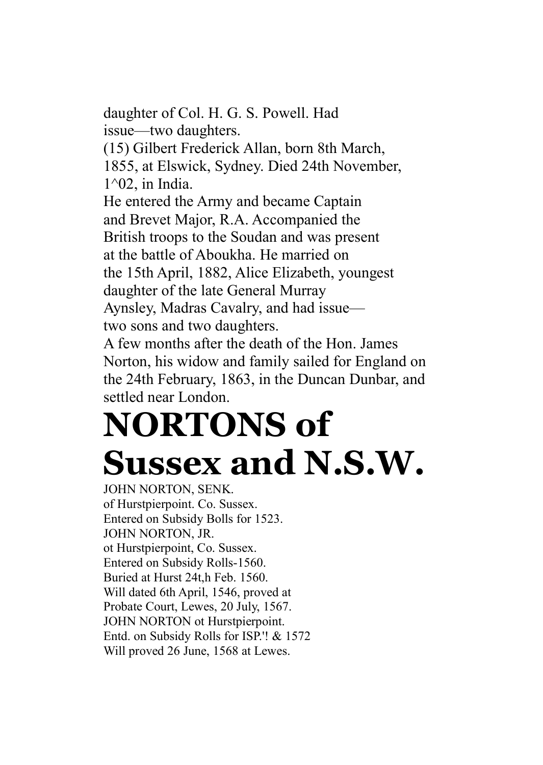daughter of Col. H. G. S. Powell. Had issue—two daughters. (15) Gilbert Frederick Allan, born 8th March, 1855, at Elswick, Sydney. Died 24th November, 1^02, in India. He entered the Army and became Captain and Brevet Major, R.A. Accompanied the British troops to the Soudan and was present at the battle of Aboukha. He married on the 15th April, 1882, Alice Elizabeth, youngest daughter of the late General Murray Aynsley, Madras Cavalry, and had issue two sons and two daughters.

A few months after the death of the Hon. James Norton, his widow and family sailed for England on the 24th February, 1863, in the Duncan Dunbar, and settled near London.

## **NORTONS of Sussex and N.S.W.**

JOHN NORTON, SENK. of Hurstpierpoint. Co. Sussex. Entered on Subsidy Bolls for 1523. JOHN NORTON, JR. ot Hurstpierpoint, Co. Sussex. Entered on Subsidy Rolls-1560. Buried at Hurst 24t,h Feb. 1560. Will dated 6th April, 1546, proved at Probate Court, Lewes, 20 July, 1567. JOHN NORTON ot Hurstpierpoint. Entd. on Subsidy Rolls for ISP.'! & 1572 Will proved 26 June, 1568 at Lewes.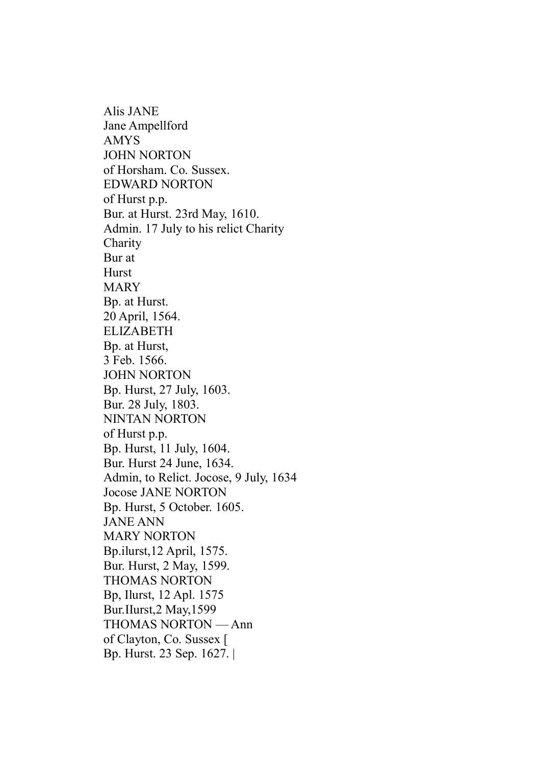Alis JANE Jane Ampellford AMYS JOHN NORTON of Horsham. Co. Sussex. EDWARD NORTON of Hurst p.p. Bur. at Hurst. 23rd May, 1610. Admin. 17 July to his relict Charity Charity Bur at Hurst MARY Bp. at Hurst. 20 April, 1564. ELIZABETH Bp. at Hurst, 3 Feb. 1566. JOHN NORTON Bp. Hurst, 27 July, 1603. Bur. 28 July, 1803. NINTAN NORTON of Hurst p.p. Bp. Hurst, 11 July, 1604. Bur. Hurst 24 June, 1634. Admin, to Relict. Jocose, 9 July, 1634 Jocose JANE NORTON Bp. Hurst, 5 October. 1605. JANE ANN MARY NORTON Bp.ilurst,12 April, 1575. Bur. Hurst, 2 May, 1599. THOMAS NORTON Bp, Ilurst, 12 Apl. 1575 Bur.IIurst,2 May,1599 THOMAS NORTON — Ann of Clayton, Co. Sussex [ Bp. Hurst. 23 Sep. 1627. |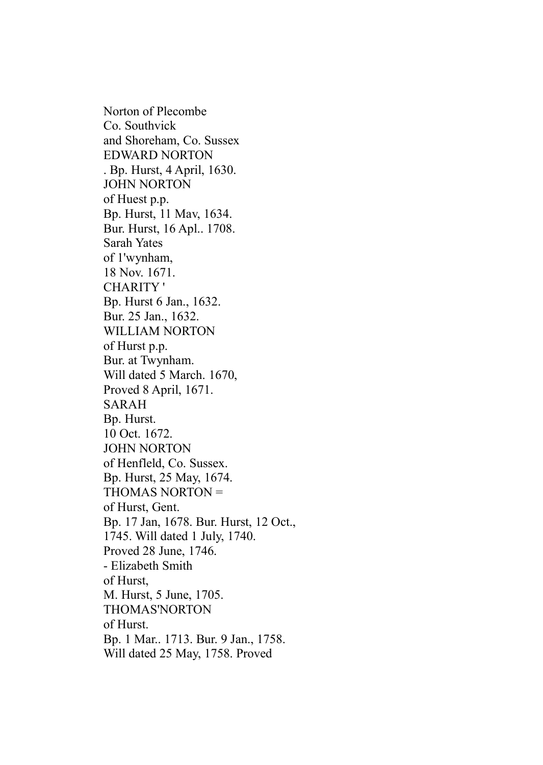Norton of Plecombe Co. Southvick and Shoreham, Co. Sussex EDWARD NORTON . Bp. Hurst, 4 April, 1630. JOHN NORTON of Huest p.p. Bp. Hurst, 11 Mav, 1634. Bur. Hurst, 16 Apl.. 1708. Sarah Yates of 1'wynham, 18 Nov. 1671. CHARITY ' Bp. Hurst 6 Jan., 1632. Bur. 25 Jan., 1632. WILLIAM NORTON of Hurst p.p. Bur. at Twynham. Will dated 5 March. 1670, Proved 8 April, 1671. SARAH Bp. Hurst. 10 Oct. 1672. JOHN NORTON of Henfleld, Co. Sussex. Bp. Hurst, 25 May, 1674. THOMAS NORTON = of Hurst, Gent. Bp. 17 Jan, 1678. Bur. Hurst, 12 Oct., 1745. Will dated 1 July, 1740. Proved 28 June, 1746. - Elizabeth Smith of Hurst, M. Hurst, 5 June, 1705. THOMAS'NORTON of Hurst. Bp. 1 Mar.. 1713. Bur. 9 Jan., 1758. Will dated 25 May, 1758. Proved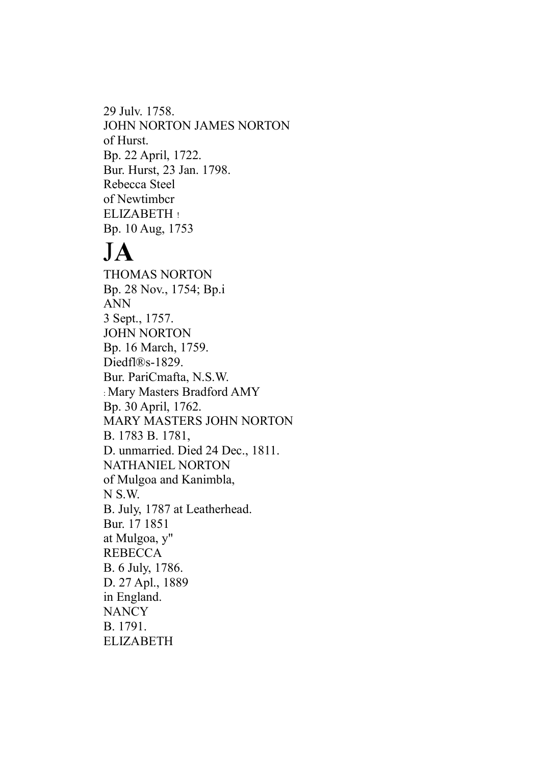29 Julv. 1758. JOHN NORTON JAMES NORTON of Hurst. Bp. 22 April, 1722. Bur. Hurst, 23 Jan. 1798. Rebecca Steel of Newtimbcr ELIZABETH ! Bp. 10 Aug, 1753

## J**A**

THOMAS NORTON Bp. 28 Nov., 1754; Bp.i ANN 3 Sept., 1757. JOHN NORTON Bp. 16 March, 1759. Diedfl®s-1829. Bur. PariCmafta, N.S.W. : Mary Masters Bradford AMY Bp. 30 April, 1762. MARY MASTERS JOHN NORTON B. 1783 B. 1781, D. unmarried. Died 24 Dec., 1811. NATHANIEL NORTON of Mulgoa and Kanimbla, N S.W. B. July, 1787 at Leatherhead. Bur. 17 1851 at Mulgoa, y" REBECCA B. 6 July, 1786. D. 27 Apl., 1889 in England. **NANCY** B. 1791. ELIZABETH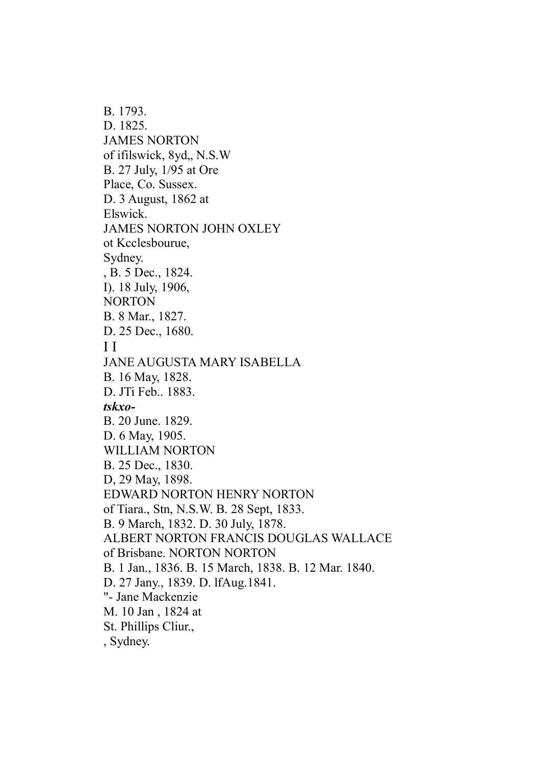B. 1793. D. 1825. JAMES NORTON of ifilswick, 8yd,, N.S.W B. 27 July, 1/95 at Ore Place, Co. Sussex. D. 3 August, 1862 at Elswick. JAMES NORTON JOHN OXLEY ot Kcclesbourue, Sydney. , B. 5 Dec., 1824. I). 18 July, 1906, NORTON B. 8 Mar., 1827. D. 25 Dec., 1680. I I JANE AUGUSTA MARY ISABELLA B. 16 May, 1828. D. JTi Feb.. 1883. *tskxo-*B. 20 June. 1829. D. 6 May, 1905. WILLIAM NORTON B. 25 Dec., 1830. D, 29 May, 1898. EDWARD NORTON HENRY NORTON of Tiara., Stn, N.S.W. B. 28 Sept, 1833. B. 9 March, 1832. D. 30 July, 1878. ALBERT NORTON FRANCIS DOUGLAS WALLACE of Brisbane. NORTON NORTON B. 1 Jan., 1836. B. 15 March, 1838. B. 12 Mar. 1840. D. 27 Jany., 1839. D. lfAug.1841. "- Jane Mackenzie M. 10 Jan , 1824 at St. Phillips Cliur., , Sydney.